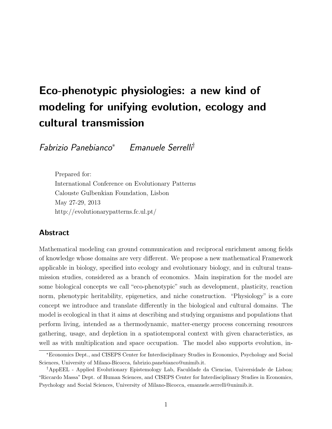# Eco-phenotypic physiologies: a new kind of modeling for unifying evolution, ecology and cultural transmission

Fabrizio Panebianco<sup>∗</sup> Emanuele Serrelli†

Prepared for: International Conference on Evolutionary Patterns Calouste Gulbenkian Foundation, Lisbon May 27-29, 2013 http://evolutionarypatterns.fc.ul.pt/

## Abstract

Mathematical modeling can ground communication and reciprocal enrichment among fields of knowledge whose domains are very different. We propose a new mathematical Framework applicable in biology, specified into ecology and evolutionary biology, and in cultural transmission studies, considered as a branch of economics. Main inspiration for the model are some biological concepts we call "eco-phenotypic" such as development, plasticity, reaction norm, phenotypic heritability, epigenetics, and niche construction. "Physiology" is a core concept we introduce and translate differently in the biological and cultural domains. The model is ecological in that it aims at describing and studying organisms and populations that perform living, intended as a thermodynamic, matter-energy process concerning resources gathering, usage, and depletion in a spatiotemporal context with given characteristics, as well as with multiplication and space occupation. The model also supports evolution, in-

<sup>∗</sup>Economics Dept., and CISEPS Center for Interdisciplinary Studies in Economics, Psychology and Social Sciences, University of Milano-Bicocca, fabrizio.panebianco@unimib.it.

<sup>†</sup>AppEEL - Applied Evolutionary Epistemology Lab, Faculdade da Ciencias, Universidade de Lisboa; "Riccardo Massa" Dept. of Human Sciences, and CISEPS Center for Interdisciplinary Studies in Economics, Psychology and Social Sciences, University of Milano-Bicocca, emanuele.serrelli@unimib.it.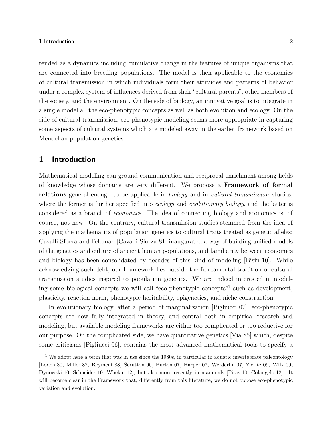tended as a dynamics including cumulative change in the features of unique organisms that are connected into breeding populations. The model is then applicable to the economics of cultural transmission in which individuals form their attitudes and patterns of behavior under a complex system of influences derived from their "cultural parents", other members of the society, and the environment. On the side of biology, an innovative goal is to integrate in a single model all the eco-phenotypic concepts as well as both evolution and ecology. On the side of cultural transmission, eco-phenotypic modeling seems more appropriate in capturing some aspects of cultural systems which are modeled away in the earlier framework based on Mendelian population genetics.

## 1 Introduction

Mathematical modeling can ground communication and reciprocal enrichment among fields of knowledge whose domains are very different. We propose a Framework of formal relations general enough to be applicable in biology and in cultural transmission studies, where the former is further specified into *ecology* and *evolutionary biology*, and the latter is considered as a branch of economics. The idea of connecting biology and economics is, of course, not new. On the contrary, cultural transmission studies stemmed from the idea of applying the mathematics of population genetics to cultural traits treated as genetic alleles: Cavalli-Sforza and Feldman [Cavalli-Sforza 81] inaugurated a way of building unified models of the genetics and culture of ancient human populations, and familiarity between economics and biology has been consolidated by decades of this kind of modeling [Bisin 10]. While acknowledging such debt, our Framework lies outside the fundamental tradition of cultural transmission studies inspired to population genetics. We are indeed interested in modeling some biological concepts we will call "eco-phenotypic concepts"<sup>1</sup> such as development, plasticity, reaction norm, phenotypic heritability, epigenetics, and niche construction.

In evolutionary biology, after a period of marginalization [Pigliucci 07], eco-phenotypic concepts are now fully integrated in theory, and central both in empirical research and modeling, but available modeling frameworks are either too complicated or too reductive for our purpose. On the complicated side, we have quantitative genetics [Via 85] which, despite some criticisms [Pigliucci 06], contains the most advanced mathematical tools to specify a

<sup>&</sup>lt;sup>1</sup> We adopt here a term that was in use since the 1980s, in particular in aquatic invertebrate paleontology [Loden 80, Miller 82, Reyment 88, Scrutton 96, Burton 07, Harper 07, Werderlin 07, Zieritz 09, Wilk 09, Dynowski 10, Schneider 10, Whelan 12], but also more recently in mammals [Piras 10, Colangelo 12]. It will become clear in the Framework that, differently from this literature, we do not oppose eco-phenotypic variation and evolution.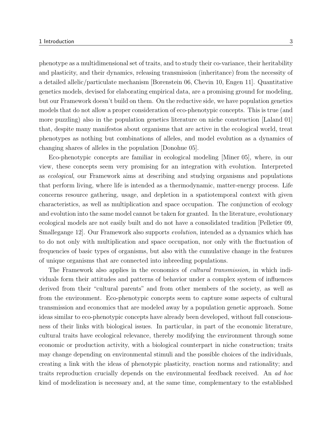phenotype as a multidimensional set of traits, and to study their co-variance, their heritability and plasticity, and their dynamics, releasing transmission (inheritance) from the necessity of a detailed allelic/particulate mechanism [Borenstein 06, Chevin 10, Engen 11]. Quantitative genetics models, devised for elaborating empirical data, are a promising ground for modeling, but our Framework doesn't build on them. On the reductive side, we have population genetics models that do not allow a proper consideration of eco-phenotypic concepts. This is true (and more puzzling) also in the population genetics literature on niche construction [Laland 01] that, despite many manifestos about organisms that are active in the ecological world, treat phenotypes as nothing but combinations of alleles, and model evolution as a dynamics of changing shares of alleles in the population [Donohue 05].

Eco-phenotypic concepts are familiar in ecological modeling [Miner 05], where, in our view, these concepts seem very promising for an integration with evolution. Interpreted as ecological, our Framework aims at describing and studying organisms and populations that perform living, where life is intended as a thermodynamic, matter-energy process. Life concerns resource gathering, usage, and depletion in a spatiotemporal context with given characteristics, as well as multiplication and space occupation. The conjunction of ecology and evolution into the same model cannot be taken for granted. In the literature, evolutionary ecological models are not easily built and do not have a consolidated tradition [Pelletier 09, Smallegange 12. Our Framework also supports *evolution*, intended as a dynamics which has to do not only with multiplication and space occupation, nor only with the fluctuation of frequencies of basic types of organisms, but also with the cumulative change in the features of unique organisms that are connected into inbreeding populations.

The Framework also applies in the economics of *cultural transmission*, in which individuals form their attitudes and patterns of behavior under a complex system of influences derived from their "cultural parents" and from other members of the society, as well as from the environment. Eco-phenotypic concepts seem to capture some aspects of cultural transmission and economics that are modeled away by a population genetic approach. Some ideas similar to eco-phenotypic concepts have already been developed, without full consciousness of their links with biological issues. In particular, in part of the economic literature, cultural traits have ecological relevance, thereby modifying the environment through some economic or production activity, with a biological counterpart in niche construction; traits may change depending on environmental stimuli and the possible choices of the individuals, creating a link with the ideas of phenotypic plasticity, reaction norms and rationality; and traits reproduction crucially depends on the environmental feedback received. An ad hoc kind of modelization is necessary and, at the same time, complementary to the established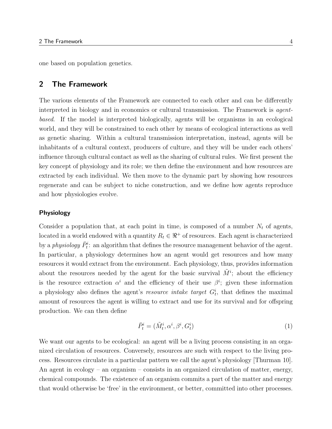one based on population genetics.

## 2 The Framework

The various elements of the Framework are connected to each other and can be differently interpreted in biology and in economics or cultural transmission. The Framework is agentbased. If the model is interpreted biologically, agents will be organisms in an ecological world, and they will be constrained to each other by means of ecological interactions as well as genetic sharing. Within a cultural transmission interpretation, instead, agents will be inhabitants of a cultural context, producers of culture, and they will be under each others' influence through cultural contact as well as the sharing of cultural rules. We first present the key concept of physiology and its role; we then define the environment and how resources are extracted by each individual. We then move to the dynamic part by showing how resources regenerate and can be subject to niche construction, and we define how agents reproduce and how physiologies evolve.

#### Physiology

Consider a population that, at each point in time, is composed of a number  $N_t$  of agents, located in a world endowed with a quantity  $R_t \in \mathbb{R}^+$  of resources. Each agent is characterized by a *physiology*  $\bar{P}_t^i$ : an algorithm that defines the resource management behavior of the agent. In particular, a physiology determines how an agent would get resources and how many resources it would extract from the environment. Each physiology, thus, provides information about the resources needed by the agent for the basic survival  $\tilde{M}^i$ ; about the efficiency is the resource extraction  $\alpha^i$  and the efficiency of their use  $\beta^i$ ; given these information a physiology also defines the agent's *resource intake target*  $G_t^i$ , that defines the maximal amount of resources the agent is willing to extract and use for its survival and for offspring production. We can then define

$$
\bar{P}_t^i = (\tilde{M}_t^i, \alpha^i, \beta^i, G_t^i)
$$
\n<sup>(1)</sup>

We want our agents to be ecological: an agent will be a living process consisting in an organized circulation of resources. Conversely, resources are such with respect to the living process. Resources circulate in a particular pattern we call the agent's physiology [Thurman 10]. An agent in ecology – an organism – consists in an organized circulation of matter, energy, chemical compounds. The existence of an organism commits a part of the matter and energy that would otherwise be 'free' in the environment, or better, committed into other processes.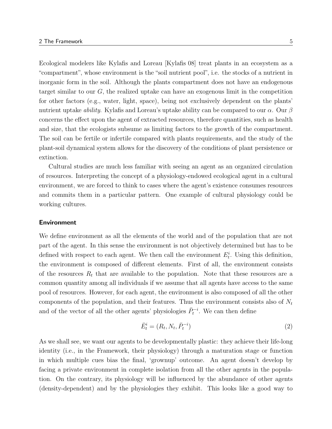Ecological modelers like Kylafis and Loreau [Kylafis 08] treat plants in an ecosystem as a "compartment", whose environment is the "soil nutrient pool", i.e. the stocks of a nutrient in inorganic form in the soil. Although the plants compartment does not have an endogenous target similar to our G, the realized uptake can have an exogenous limit in the competition for other factors (e.g., water, light, space), being not exclusively dependent on the plants' nutrient uptake *ability*. Kylafis and Loreau's uptake ability can be compared to our  $\alpha$ . Our  $\beta$ concerns the effect upon the agent of extracted resources, therefore quantities, such as health and size, that the ecologists subsume as limiting factors to the growth of the compartment. The soil can be fertile or infertile compared with plants requirements, and the study of the plant-soil dynamical system allows for the discovery of the conditions of plant persistence or extinction.

Cultural studies are much less familiar with seeing an agent as an organized circulation of resources. Interpreting the concept of a physiology-endowed ecological agent in a cultural environment, we are forced to think to cases where the agent's existence consumes resources and commits them in a particular pattern. One example of cultural physiology could be working cultures.

#### Environment

We define environment as all the elements of the world and of the population that are not part of the agent. In this sense the environment is not objectively determined but has to be defined with respect to each agent. We then call the environment  $E_t^i$ . Using this definition, the environment is composed of different elements. First of all, the environment consists of the resources  $R_t$  that are available to the population. Note that these resources are a common quantity among all individuals if we assume that all agents have access to the same pool of resources. However, for each agent, the environment is also composed of all the other components of the population, and their features. Thus the environment consists also of  $N_t$ and of the vector of all the other agents' physiologies  $\bar{P}_t^{-i}$ . We can then define

$$
\bar{E}_t^i = (R_t, N_t, \bar{P}_t^{-i})
$$
\n
$$
(2)
$$

As we shall see, we want our agents to be developmentally plastic: they achieve their life-long identity (i.e., in the Framework, their physiology) through a maturation stage or function in which multiple cues bias the final, 'grownup' outcome. An agent doesn't develop by facing a private environment in complete isolation from all the other agents in the population. On the contrary, its physiology will be influenced by the abundance of other agents (density-dependent) and by the physiologies they exhibit. This looks like a good way to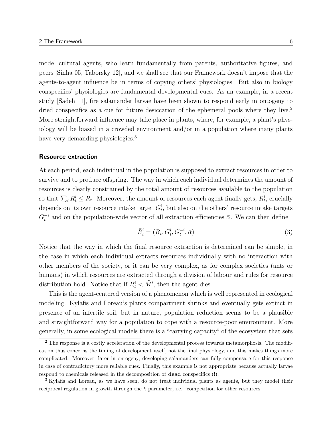model cultural agents, who learn fundamentally from parents, authoritative figures, and peers [Sinha 05, Taborsky 12], and we shall see that our Framework doesn't impose that the agents-to-agent influence be in terms of copying others' physiologies. But also in biology conspecifics' physiologies are fundamental developmental cues. As an example, in a recent study [Sadeh 11], fire salamander larvae have been shown to respond early in ontogeny to dried conspecifics as a cue for future desiccation of the ephemeral pools where they live.<sup>2</sup> More straightforward influence may take place in plants, where, for example, a plant's physiology will be biased in a crowded environment and/or in a population where many plants have very demanding physiologies.<sup>3</sup>

#### Resource extraction

At each period, each individual in the population is supposed to extract resources in order to survive and to produce offspring. The way in which each individual determines the amount of resources is clearly constrained by the total amount of resources available to the population so that  $\sum_i R_t^i \leq R_t$ . Moreover, the amount of resources each agent finally gets,  $R_t^i$ , crucially depends on its own resource intake target  $G_t^i$ , but also on the others' resource intake targets  $G_t^{-i}$  and on the population-wide vector of all extraction efficiencies  $\bar{\alpha}$ . We can then define

$$
\bar{R}_t^i = (R_t, G_t^i, G_t^{-i}, \bar{\alpha})
$$
\n
$$
(3)
$$

Notice that the way in which the final resource extraction is determined can be simple, in the case in which each individual extracts resources individually with no interaction with other members of the society, or it can be very complex, as for complex societies (ants or humans) in which resources are extracted through a division of labour and rules for resource distribution hold. Notice that if  $R_t^i < \tilde{M}^i$ , then the agent dies.

This is the agent-centered version of a phenomenon which is well represented in ecological modeling. Kylafis and Loreau's plants compartment shrinks and eventually gets extinct in presence of an infertile soil, but in nature, population reduction seems to be a plausible and straightforward way for a population to cope with a resource-poor environment. More generally, in some ecological models there is a "carrying capacity" of the ecosystem that sets

<sup>&</sup>lt;sup>2</sup> The response is a costly acceleration of the developmental process towards metamorphosis. The modification thus concerns the timing of development itself, not the final physiology, and this makes things more complicated. Moreover, later in ontogeny, developing salamanders can fully compensate for this response in case of contradictory more reliable cues. Finally, this example is not appropriate because actually larvae respond to chemicals released in the decomposition of dead conspecifics (!).

<sup>3</sup> Kylafis and Loreau, as we have seen, do not treat individual plants as agents, but they model their reciprocal regulation in growth through the  $k$  parameter, i.e. "competition for other resources".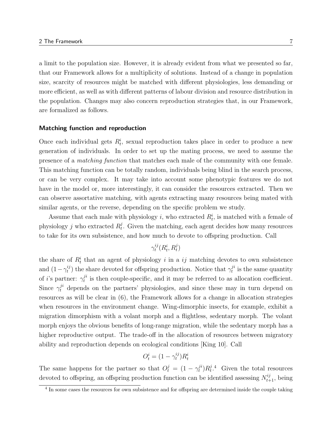a limit to the population size. However, it is already evident from what we presented so far, that our Framework allows for a multiplicity of solutions. Instead of a change in population size, scarcity of resources might be matched with different physiologies, less demanding or more efficient, as well as with different patterns of labour division and resource distribution in the population. Changes may also concern reproduction strategies that, in our Framework, are formalized as follows.

#### Matching function and reproduction

Once each individual gets  $R_t^i$ , sexual reproduction takes place in order to produce a new generation of individuals. In order to set up the mating process, we need to assume the presence of a matching function that matches each male of the community with one female. This matching function can be totally random, individuals being blind in the search process, or can be very complex. It may take into account some phenotypic features we do not have in the model or, more interestingly, it can consider the resources extracted. Then we can observe assortative matching, with agents extracting many resources being mated with similar agents, or the reverse, depending on the specific problem we study.

Assume that each male with physiology i, who extracted  $R_t^i$ , is matched with a female of physiology *j* who extracted  $R_t^j$  $t_t^j$ . Given the matching, each agent decides how many resources to take for its own subsistence, and how much to devote to offspring production. Call

$$
\gamma_t^{ij}(R_t^i,R_t^j)
$$

the share of  $R_t^i$  that an agent of physiology i in a ij matching devotes to own subsistence and  $(1 - \gamma_t^{ij})$  $t^{ij}$  the share devoted for offspring production. Notice that  $\gamma_t^{ji}$  $t^{j}$  is the same quantity of *i*'s partner:  $\gamma_t^{ji}$  $i<sup>i</sup>$  is then couple-specific, and it may be referred to as allocation coefficient. Since  $\gamma_t^{ji}$  depends on the partners' physiologies, and since these may in turn depend on resources as will be clear in (6), the Framework allows for a change in allocation strategies when resources in the environment change. Wing-dimorphic insects, for example, exhibit a migration dimorphism with a volant morph and a flightless, sedentary morph. The volant morph enjoys the obvious benefits of long-range migration, while the sedentary morph has a higher reproductive output. The trade-off in the allocation of resources between migratory ability and reproduction depends on ecological conditions [King 10]. Call

$$
O_t^i = (1 - \gamma_t^{ij})R_t^i
$$

The same happens for the partner so that  $O_t^j = (1 - \gamma_t^{ji})$  $_{t}^{ji})R_{t}^{j}$  $t^{j.4}$  Given the total resources devoted to offspring, an offspring production function can be identified assessing  $N_{t+1}^{ij}$ , being

<sup>&</sup>lt;sup>4</sup> In some cases the resources for own subsistence and for offspring are determined inside the couple taking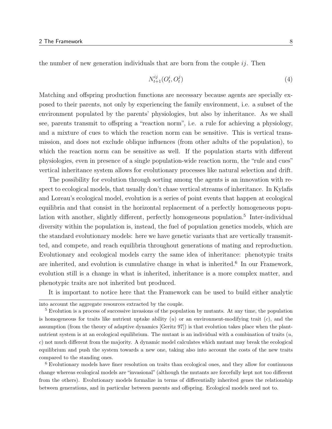the number of new generation individuals that are born from the couple  $i\dot{j}$ . Then

$$
N_{t+1}^{ij}(O_t^i, O_t^j) \tag{4}
$$

Matching and offspring production functions are necessary because agents are specially exposed to their parents, not only by experiencing the family environment, i.e. a subset of the environment populated by the parents' physiologies, but also by inheritance. As we shall see, parents transmit to offspring a "reaction norm", i.e. a rule for achieving a physiology, and a mixture of cues to which the reaction norm can be sensitive. This is vertical transmission, and does not exclude oblique influences (from other adults of the population), to which the reaction norm can be sensitive as well. If the population starts with different physiologies, even in presence of a single population-wide reaction norm, the "rule and cues" vertical inheritance system allows for evolutionary processes like natural selection and drift.

The possibility for evolution through sorting among the agents is an innovation with respect to ecological models, that usually don't chase vertical streams of inheritance. In Kylafis and Loreau's ecological model, evolution is a series of point events that happen at ecological equilibria and that consist in the horizontal replacement of a perfectly homogeneous population with another, slightly different, perfectly homogeneous population.<sup>5</sup> Inter-individual diversity within the population is, instead, the fuel of population genetics models, which are the standard evolutionary models: here we have genetic variants that are vertically transmitted, and compete, and reach equilibria throughout generations of mating and reproduction. Evolutionary and ecological models carry the same idea of inheritance: phenotypic traits are inherited, and evolution is cumulative change in what is inherited.<sup>6</sup> In our Framework, evolution still is a change in what is inherited, inheritance is a more complex matter, and phenotypic traits are not inherited but produced.

It is important to notice here that the Framework can be used to build either analytic

<sup>6</sup> Evolutionary models have finer resolution on traits than ecological ones, and they allow for continuous change whereas ecological models are "invasional" (although the mutants are forcefully kept not too different from the others). Evolutionary models formalize in terms of differentially inherited genes the relationship between generations, and in particular between parents and offspring. Ecological models need not to.

into account the aggregate resources extracted by the couple.

<sup>5</sup> Evolution is a process of successive invasions of the population by mutants. At any time, the population is homogeneous for traits like nutrient uptake ability  $(u)$  or an environment-modifying trait  $(c)$ , and the assumption (from the theory of adaptive dynamics [Geritz 97]) is that evolution takes place when the plantnutrient system is at an ecological equilibrium. The mutant is an individual with a combination of traits  $(u,$ c) not much different from the majority. A dynamic model calculates which mutant may break the ecological equilibrium and push the system towards a new one, taking also into account the costs of the new traits compared to the standing ones.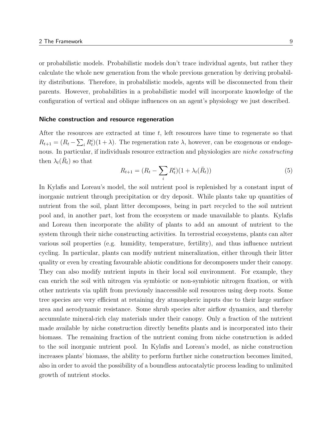or probabilistic models. Probabilistic models don't trace individual agents, but rather they calculate the whole new generation from the whole previous generation by deriving probability distributions. Therefore, in probabilistic models, agents will be disconnected from their parents. However, probabilities in a probabilistic model will incorporate knowledge of the configuration of vertical and oblique influences on an agent's physiology we just described.

#### Niche construction and resource regeneration

After the resources are extracted at time t, left resources have time to regenerate so that  $R_{t+1} = (R_t - \sum_i R_t^i)(1+\lambda)$ . The regeneration rate  $\lambda$ , however, can be exogenous or endogenous. In particular, if individuals resource extraction and physiologies are *niche constructing* then  $\lambda_t(\bar{R}_t)$  so that

$$
R_{t+1} = (R_t - \sum_i R_t^i)(1 + \lambda_t(\bar{R}_t))
$$
\n(5)

In Kylafis and Loreau's model, the soil nutrient pool is replenished by a constant input of inorganic nutrient through precipitation or dry deposit. While plants take up quantities of nutrient from the soil, plant litter decomposes, being in part recycled to the soil nutrient pool and, in another part, lost from the ecosystem or made unavailable to plants. Kylafis and Loreau then incorporate the ability of plants to add an amount of nutrient to the system through their niche constructing activities. In terrestrial ecosystems, plants can alter various soil properties (e.g. humidity, temperature, fertility), and thus influence nutrient cycling. In particular, plants can modify nutrient mineralization, either through their litter quality or even by creating favourable abiotic conditions for decomposers under their canopy. They can also modify nutrient inputs in their local soil environment. For example, they can enrich the soil with nitrogen via symbiotic or non-symbiotic nitrogen fixation, or with other nutrients via uplift from previously inaccessible soil resources using deep roots. Some tree species are very efficient at retaining dry atmospheric inputs due to their large surface area and aerodynamic resistance. Some shrub species alter airflow dynamics, and thereby accumulate mineral-rich clay materials under their canopy. Only a fraction of the nutrient made available by niche construction directly benefits plants and is incorporated into their biomass. The remaining fraction of the nutrient coming from niche construction is added to the soil inorganic nutrient pool. In Kylafis and Loreau's model, as niche construction increases plants' biomass, the ability to perform further niche construction becomes limited, also in order to avoid the possibility of a boundless autocatalytic process leading to unlimited growth of nutrient stocks.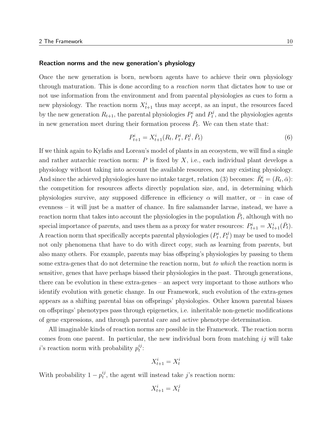#### Reaction norms and the new generation's physiology

Once the new generation is born, newborn agents have to achieve their own physiology through maturation. This is done according to a reaction norm that dictates how to use or not use information from the environment and from parental physiologies as cues to form a new physiology. The reaction norm  $X_{t+1}^i$  thus may accept, as an input, the resources faced by the new generation  $R_{t+1}$ , the parental physiologies  $P_t^i$  and  $P_t^j$  $t<sub>t</sub><sup>j</sup>$ , and the physiologies agents in new generation meet during their formation process  $\bar{P}_t$ . We can then state that:

$$
P_{t+1}^i = X_{t+1}^i(R_t, P_t^i, P_t^j, \bar{P}_t)
$$
\n<sup>(6)</sup>

If we think again to Kylafis and Loreau's model of plants in an ecosystem, we will find a single and rather autarchic reaction norm:  $P$  is fixed by  $X$ , i.e., each individual plant develops a physiology without taking into account the available resources, nor any existing physiology. And since the achieved physiologies have no intake target, relation (3) becomes:  $\bar{R}^i_t = (R_t, \bar{\alpha})$ : the competition for resources affects directly population size, and, in determining which physiologies survive, any supposed difference in efficiency  $\alpha$  will matter, or – in case of evenness – it will just be a matter of chance. In fire salamander larvae, instead, we have a reaction norm that takes into account the physiologies in the population  $\bar{P}_t$ , although with no special importance of parents, and uses them as a proxy for water resources:  $P_{t+1}^i = X_{t+1}^i(\bar{P}_t)$ . A reaction norm that specifically accepts parental physiologies  $(P_t^i, P_t^j)$  may be used to model not only phenomena that have to do with direct copy, such as learning from parents, but also many others. For example, parents may bias offspring's physiologies by passing to them some extra-genes that do not determine the reaction norm, but to which the reaction norm is sensitive, genes that have perhaps biased their physiologies in the past. Through generations, there can be evolution in these extra-genes – an aspect very important to those authors who identify evolution with genetic change. In our Framework, such evolution of the extra-genes appears as a shifting parental bias on offsprings' physiologies. Other known parental biases on offsprings' phenotypes pass through epigenetics, i.e. inheritable non-genetic modifications of gene expressions, and through parental care and active phenotype determination.

All imaginable kinds of reaction norms are possible in the Framework. The reaction norm comes from one parent. In particular, the new individual born from matching  $ij$  will take *i*'s reaction norm with probability  $p_t^{ij}$  $_t^{\imath \jmath}$  :

$$
X_{t+1}^i = X_t^i
$$

With probability  $1-p_t^{ij}$  $t_i^{ij}$ , the agent will instead take j's reaction norm:

$$
X_{t+1}^i = X_t^j
$$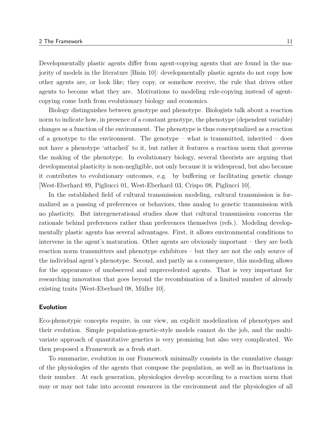Developmentally plastic agents differ from agent-copying agents that are found in the majority of models in the literature [Bisin 10]: developmentally plastic agents do not copy how other agents are, or look like; they copy, or somehow receive, the rule that drives other agents to become what they are. Motivations to modeling rule-copying instead of agentcopying come both from evolutionary biology and economics.

Biology distinguishes between genotype and phenotype. Biologists talk about a reaction norm to indicate how, in presence of a constant genotype, the phenotype (dependent variable) changes as a function of the environment. The phenotype is thus conceptualized as a reaction of a genotype to the environment. The genotype – what is transmitted, inherited – does not have a phenotype 'attached' to it, but rather it features a reaction norm that governs the making of the phenotype. In evolutionary biology, several theorists are arguing that developmental plasticity is non-negligible, not only because it is widespread, but also because it contributes to evolutionary outcomes, e.g. by buffering or facilitating genetic change [West-Eberhard 89, Pigliucci 01, West-Eberhard 03, Crispo 08, Pigliucci 10].

In the established field of cultural transmission modeling, cultural transmission is formalized as a passing of preferences or behaviors, thus analog to genetic transmission with no plasticity. But intergenerational studies show that cultural transmission concerns the rationale behind preferences rather than preferences themselves (refs.). Modeling developmentally plastic agents has several advantages. First, it allows environmental conditions to intervene in the agent's maturation. Other agents are obviously important – they are both reaction norm transmitters and phenotype exhibitors – but they are not the only source of the individual agent's phenotype. Second, and partly as a consequence, this modeling allows for the appearance of unobserved and unprecedented agents. That is very important for researching innovation that goes beyond the recombination of a limited number of already existing traits [West-Eberhard 08, Müller 10].

#### Evolution

Eco-phenotypic concepts require, in our view, an explicit modelization of phenotypes and their evolution. Simple population-genetic-style models cannot do the job, and the multivariate approach of quantitative genetics is very promising but also very complicated. We then proposed a Framework as a fresh start.

To summarize, evolution in our Framework minimally consists in the cumulative change of the physiologies of the agents that compose the population, as well as in fluctuations in their number. At each generation, physiologies develop according to a reaction norm that may or may not take into account resources in the environment and the physiologies of all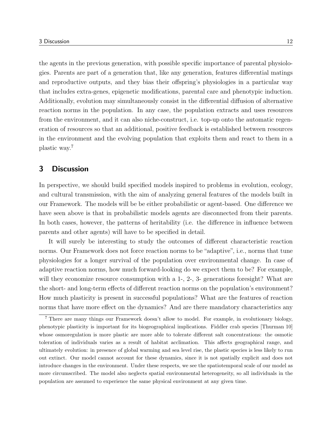the agents in the previous generation, with possible specific importance of parental physiologies. Parents are part of a generation that, like any generation, features differential matings and reproductive outputs, and they bias their offspring's physiologies in a particular way that includes extra-genes, epigenetic modifications, parental care and phenotypic induction. Additionally, evolution may simultaneously consist in the differential diffusion of alternative reaction norms in the population. In any case, the population extracts and uses resources from the environment, and it can also niche-construct, i.e. top-up onto the automatic regeneration of resources so that an additional, positive feedback is established between resources in the environment and the evolving population that exploits them and react to them in a plastic way.<sup>7</sup>

## 3 Discussion

In perspective, we should build specified models inspired to problems in evolution, ecology, and cultural transmission, with the aim of analyzing general features of the models built in our Framework. The models will be be either probabilistic or agent-based. One difference we have seen above is that in probabilistic models agents are disconnected from their parents. In both cases, however, the patterns of heritability (i.e. the difference in influence between parents and other agents) will have to be specified in detail.

It will surely be interesting to study the outcomes of different characteristic reaction norms. Our Framework does not force reaction norms to be "adaptive", i.e., norms that tune physiologies for a longer survival of the population over environmental change. In case of adaptive reaction norms, how much forward-looking do we expect them to be? For example, will they economize resource consumption with a 1-, 2-, 3- generations foresight? What are the short- and long-term effects of different reaction norms on the population's environment? How much plasticity is present in successful populations? What are the features of reaction norms that have more effect on the dynamics? And are there mandatory characteristics any

<sup>7</sup> There are many things our Framework doesn't allow to model. For example, in evolutionary biology, phenotypic plasticity is important for its biogeographical implications. Fiddler crab species [Thurman 10] whose osmoregulation is more plastic are more able to tolerate different salt concentrations: the osmotic toleration of individuals varies as a result of habitat acclimation. This affects geographical range, and ultimately evolution: in presence of global warming and sea level rise, the plastic species is less likely to run out extinct. Our model cannot account for these dynamics, since it is not spatially explicit and does not introduce changes in the environment. Under these respects, we see the spatiotemporal scale of our model as more circumscribed. The model also neglects spatial environmental heterogeneity, so all individuals in the population are assumed to experience the same physical environment at any given time.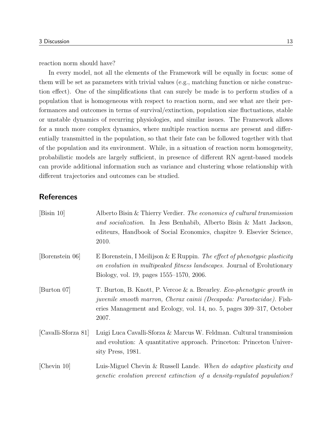reaction norm should have?

In every model, not all the elements of the Framework will be equally in focus: some of them will be set as parameters with trivial values (e.g., matching function or niche construction effect). One of the simplifications that can surely be made is to perform studies of a population that is homogeneous with respect to reaction norm, and see what are their performances and outcomes in terms of survival/extinction, population size fluctuations, stable or unstable dynamics of recurring physiologies, and similar issues. The Framework allows for a much more complex dynamics, where multiple reaction norms are present and differentially transmitted in the population, so that their fate can be followed together with that of the population and its environment. While, in a situation of reaction norm homogeneity, probabilistic models are largely sufficient, in presence of different RN agent-based models can provide additional information such as variance and clustering whose relationship with different trajectories and outcomes can be studied.

# **References**

| [Bisin 10]          | Alberto Bisin & Thierry Verdier. The economics of cultural transmission<br>and socialization. In Jess Benhabib, Alberto Bisin & Matt Jackson,<br>editeurs, Handbook of Social Economics, chapitre 9. Elsevier Science,<br>2010.                 |
|---------------------|-------------------------------------------------------------------------------------------------------------------------------------------------------------------------------------------------------------------------------------------------|
| [Borenstein 06]     | E Borenstein, I Meilijson & E Ruppin. The effect of phenotypic plasticity<br>on evolution in multipeaked fitness landscapes. Journal of Evolutionary<br>Biology, vol. 19, pages 1555–1570, 2006.                                                |
| [Burton 07]         | T. Burton, B. Knott, P. Vercoe & a. Brearley. <i>Eco-phenotypic growth in</i><br><i>juvenile smooth marron, Cherax cainii (Decapoda: Parastacidae)</i> . Fish-<br>eries Management and Ecology, vol. 14, no. 5, pages 309–317, October<br>2007. |
| [Cavalli-Sforza 81] | Luigi Luca Cavalli-Sforza & Marcus W. Feldman. Cultural transmission<br>and evolution: A quantitative approach. Princeton: Princeton Univer-<br>sity Press, 1981.                                                                               |
| [Chevin $10$ ]      | Luis-Miguel Chevin & Russell Lande. When do adaptive plasticity and<br>genetic evolution prevent extinction of a density-regulated population?                                                                                                  |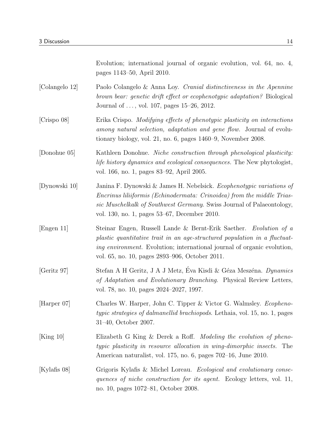|                | Evolution; international journal of organic evolution, vol. 64, no. 4,<br>pages 1143–50, April 2010.                                                                                                                                                                               |
|----------------|------------------------------------------------------------------------------------------------------------------------------------------------------------------------------------------------------------------------------------------------------------------------------------|
| [Colangelo 12] | Paolo Colangelo & Anna Loy. Cranial distinctiveness in the Apennine<br>brown bear: genetic drift effect or ecophenotypic adaptation? Biological<br>Journal of , vol. 107, pages $15-26$ , $2012$ .                                                                                 |
| [Crispo 08]    | Erika Crispo. Modifying effects of phenotypic plasticity on interactions<br>among natural selection, adaptation and gene flow. Journal of evolu-<br>tionary biology, vol. 21, no. 6, pages $1460-9$ , November 2008.                                                               |
| [Donohue 05]   | Kathleen Donohue. Niche construction through phenological plasticity:<br><i>life history dynamics and ecological consequences.</i> The New phytologist,<br>vol. 166, no. 1, pages 83–92, April 2005.                                                                               |
| [Dynowski 10]  | Janina F. Dynowski & James H. Nebelsick. Ecophenotypic variations of<br>Encrinus liliiformis (Echinodermata: Crinoidea) from the middle Trias-<br>sic Muschelkalk of Southwest Germany. Swiss Journal of Palaeontology,<br>vol. 130, no. 1, pages 53–67, December 2010.            |
| [Engen 11]     | Steinar Engen, Russell Lande & Bernt-Erik Saether. Evolution of a<br>plastic quantitative trait in an age-structured population in a fluctuat-<br><i>ing environment.</i> Evolution; international journal of organic evolution,<br>vol. 65, no. 10, pages 2893–906, October 2011. |
| [Geritz 97]    | Stefan A H Geritz, J A J Metz, Éva Kisdi & Géza Meszéna. Dynamics<br>of Adaptation and Evolutionary Branching. Physical Review Letters,<br>vol. 78, no. 10, pages 2024–2027, 1997.                                                                                                 |
| Harper 07      | Charles W. Harper, John C. Tipper & Victor G. Walmsley. Ecopheno-<br><i>typic strategies of dalmanellid brachiopods.</i> Lethaia, vol. 15, no. 1, pages<br>$31-40$ , October 2007.                                                                                                 |
| [King 10]      | Elizabeth G King & Derek a Roff. <i>Modeling the evolution of pheno-</i><br>typic plasticity in resource allocation in wing-dimorphic insects. The<br>American naturalist, vol. 175, no. 6, pages 702–16, June 2010.                                                               |
|                |                                                                                                                                                                                                                                                                                    |

[Kylafis 08] Grigoris Kylafis & Michel Loreau. Ecological and evolutionary consequences of niche construction for its agent. Ecology letters, vol. 11, no. 10, pages 1072–81, October 2008.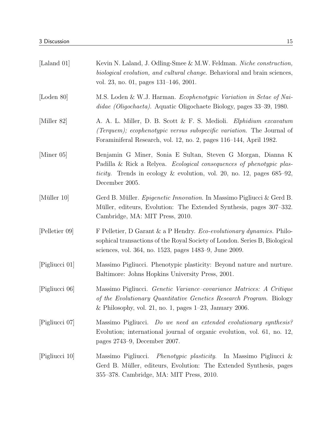| [Laland 01]    | Kevin N. Laland, J. Odling-Smee & M.W. Feldman. Niche construction,<br><i>biological evolution, and cultural change.</i> Behavioral and brain sciences,<br>vol. 23, no. 01, pages 131–146, 2001.                                                 |
|----------------|--------------------------------------------------------------------------------------------------------------------------------------------------------------------------------------------------------------------------------------------------|
| [Loden 80]     | M.S. Loden & W.J. Harman. Ecophenotypic Variation in Setae of Nai-<br>didae (Oligochaeta). Aquatic Oligochaete Biology, pages 33–39, 1980.                                                                                                       |
| [Miller 82]    | A. A. L. Miller, D. B. Scott & F. S. Medioli. Elphidium excavatum<br><i>(Terquem); ecophenotypic versus subspecific variation.</i> The Journal of<br>Foraminiferal Research, vol. 12, no. 2, pages 116–144, April 1982.                          |
| [Miner 05]     | Benjamin G Miner, Sonia E Sultan, Steven G Morgan, Dianna K<br>Padilla & Rick a Relyea. <i>Ecological consequences of phenotypic plas-</i><br><i>ticity</i> . Trends in ecology & evolution, vol. 20, no. 12, pages $685-92$ ,<br>December 2005. |
| [Müller 10]    | Gerd B. Müller. <i>Epigenetic Innovation</i> . In Massimo Pigliucci & Gerd B.<br>Müller, editeurs, Evolution: The Extended Synthesis, pages 307–332.<br>Cambridge, MA: MIT Press, 2010.                                                          |
| [Pelletier 09] | F Pelletier, D Garant & a P Hendry. <i>Eco-evolutionary dynamics</i> . Philo-<br>sophical transactions of the Royal Society of London. Series B, Biological<br>sciences, vol. 364, no. 1523, pages 1483-9, June 2009.                            |
| [Pigliucci 01] | Massimo Pigliucci. Phenotypic plasticity: Beyond nature and nurture.<br>Baltimore: Johns Hopkins University Press, 2001.                                                                                                                         |
| [Pigliucci 06] | Massimo Pigliucci. <i>Genetic Variance–covariance Matrices: A Critique</i><br>of the Evolutionary Quantitative Genetics Research Program. Biology<br>& Philosophy, vol. 21, no. 1, pages $1-23$ , January 2006.                                  |
| [Pigliucci 07] | Massimo Pigliucci. Do we need an extended evolutionary synthesis?<br>Evolution; international journal of organic evolution, vol. 61, no. 12,<br>pages 2743–9, December 2007.                                                                     |
| [Pigliucci 10] | Massimo Pigliucci.<br><i>Phenotypic plasticity.</i> In Massimo Pigliucci &<br>Gerd B. Müller, editeurs, Evolution: The Extended Synthesis, pages<br>355–378. Cambridge, MA: MIT Press, 2010.                                                     |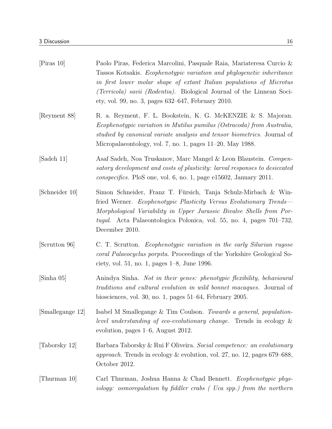| $\left[\text{Piras } 10\right]$ | Paolo Piras, Federica Marcolini, Pasquale Raia, Mariateresa Curcio &<br>Tassos Kotsakis. Ecophenotypic variation and phylogenetic inheritance<br>in first lower molar shape of extant Italian populations of Microtus<br><i>(Terricola) savii (Rodentia).</i> Biological Journal of the Linnean Soci-<br>ety, vol. 99, no. 3, pages 632–647, February 2010. |
|---------------------------------|-------------------------------------------------------------------------------------------------------------------------------------------------------------------------------------------------------------------------------------------------------------------------------------------------------------------------------------------------------------|
| Reyment 88                      | R. a. Reyment, F. L. Bookstein, K. G. McKENZIE & S. Majoran.<br>Ecophenotypic variation in Mutilus pumilus (Ostracoda) from Australia,<br>studied by canonical variate analysis and tensor biometrics. Journal of<br>Micropalaeontology, vol. 7, no. 1, pages $11-20$ , May 1988.                                                                           |
| [Sadeh 11]                      | Asaf Sadeh, Noa Truskanov, Marc Mangel & Leon Blaustein. Compen-<br>satory development and costs of plasticity: larval responses to desiccated<br><i>conspecifics.</i> PloS one, vol. 6, no. 1, page e15602, January 2011.                                                                                                                                  |
| [Schneider 10]                  | Simon Schneider, Franz T. Fürsich, Tanja Schulz-Mirbach & Win-<br>fried Werner. Ecophenotypic Plasticity Versus Evolutionary Trends-<br>Morphological Variability in Upper Jurassic Bivalve Shells from Por-<br><i>tugal.</i> Acta Palaeontologica Polonica, vol. 55, no. 4, pages 701–732,<br>December 2010.                                               |
| [Scrutton 96]                   | C. T. Scrutton. Ecophenotypic variation in the early Silurian rugose<br>coral Palaeocyclus porpita. Proceedings of the Yorkshire Geological So-<br>ciety, vol. 51, no. 1, pages 1–8, June 1996.                                                                                                                                                             |
| $[\text{Sinha } 05]$            | Anindya Sinha. Not in their genes: phenotypic flexibility, behavioural<br><i>traditions and cultural evolution in wild bonnet macaques.</i> Journal of<br>biosciences, vol. 30, no. 1, pages $51-64$ , February 2005.                                                                                                                                       |
| [Smallegange 12]                | Isabel M Smallegange & Tim Coulson. Towards a general, population-<br>level understanding of eco-evolutionary change. Trends in ecology $\&$<br>evolution, pages $1-6$ , August 2012.                                                                                                                                                                       |
| [Taborsky 12]                   | Barbara Taborsky & Rui F Oliveira. Social competence: an evolutionary<br><i>approach</i> . Trends in ecology $\&$ evolution, vol. 27, no. 12, pages 679–688,<br>October 2012.                                                                                                                                                                               |
| [Thurman 10]                    | Carl Thurman, Joshua Hanna & Chad Bennett. Ecophenotypic phys-<br>iology: osmoregulation by fiddler crabs (Uca spp.) from the northern                                                                                                                                                                                                                      |